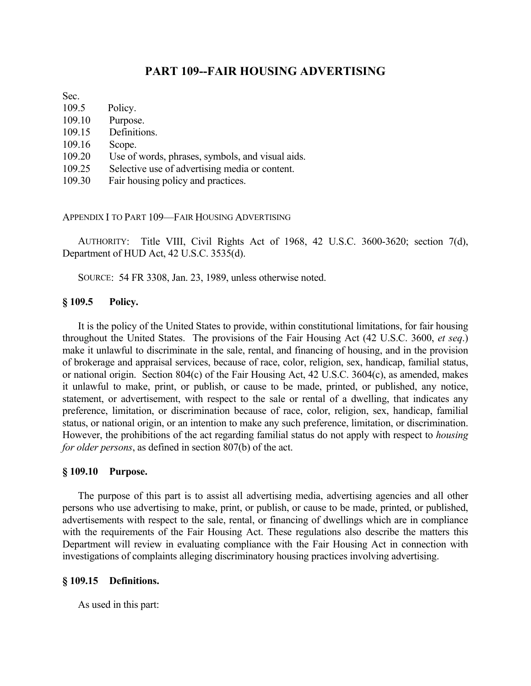# **PART 109--FAIR HOUSING ADVERTISING**

Sec.

| 109.5  | Policy.                                          |
|--------|--------------------------------------------------|
| 109.10 | Purpose.                                         |
| 109.15 | Definitions.                                     |
| 109.16 | Scope.                                           |
| 109.20 | Use of words, phrases, symbols, and visual aids. |
| 109.25 | Selective use of advertising media or content.   |
| 109.30 | Fair housing policy and practices.               |

APPENDIX I TO PART 109—FAIR HOUSING ADVERTISING

 AUTHORITY: Title VIII, Civil Rights Act of 1968, 42 U.S.C. 3600-3620; section 7(d), Department of HUD Act, 42 U.S.C. 3535(d).

SOURCE: 54 FR 3308, Jan. 23, 1989, unless otherwise noted.

### **§ 109.5 Policy.**

 It is the policy of the United States to provide, within constitutional limitations, for fair housing throughout the United States. The provisions of the Fair Housing Act (42 U.S.C. 3600, *et seq*.) make it unlawful to discriminate in the sale, rental, and financing of housing, and in the provision of brokerage and appraisal services, because of race, color, religion, sex, handicap, familial status, or national origin. Section 804(c) of the Fair Housing Act, 42 U.S.C. 3604(c), as amended, makes it unlawful to make, print, or publish, or cause to be made, printed, or published, any notice, statement, or advertisement, with respect to the sale or rental of a dwelling, that indicates any preference, limitation, or discrimination because of race, color, religion, sex, handicap, familial status, or national origin, or an intention to make any such preference, limitation, or discrimination. However, the prohibitions of the act regarding familial status do not apply with respect to *housing for older persons*, as defined in section 807(b) of the act.

### **§ 109.10 Purpose.**

 The purpose of this part is to assist all advertising media, advertising agencies and all other persons who use advertising to make, print, or publish, or cause to be made, printed, or published, advertisements with respect to the sale, rental, or financing of dwellings which are in compliance with the requirements of the Fair Housing Act. These regulations also describe the matters this Department will review in evaluating compliance with the Fair Housing Act in connection with investigations of complaints alleging discriminatory housing practices involving advertising.

## **§ 109.15 Definitions.**

As used in this part: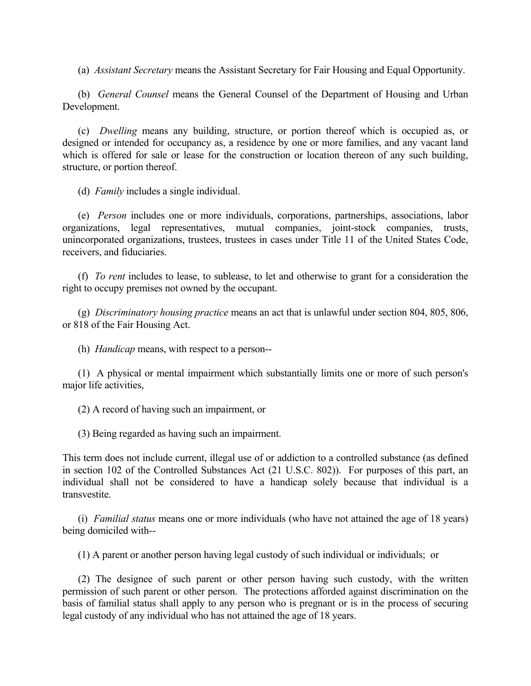(a) *Assistant Secretary* means the Assistant Secretary for Fair Housing and Equal Opportunity.

 (b) *General Counsel* means the General Counsel of the Department of Housing and Urban Development.

 (c) *Dwelling* means any building, structure, or portion thereof which is occupied as, or designed or intended for occupancy as, a residence by one or more families, and any vacant land which is offered for sale or lease for the construction or location thereon of any such building, structure, or portion thereof.

(d) *Family* includes a single individual.

 (e) *Person* includes one or more individuals, corporations, partnerships, associations, labor organizations, legal representatives, mutual companies, joint-stock companies, trusts, unincorporated organizations, trustees, trustees in cases under Title 11 of the United States Code, receivers, and fiduciaries.

 (f) *To rent* includes to lease, to sublease, to let and otherwise to grant for a consideration the right to occupy premises not owned by the occupant.

 (g) *Discriminatory housing practice* means an act that is unlawful under section 804, 805, 806, or 818 of the Fair Housing Act.

(h) *Handicap* means, with respect to a person--

 (1) A physical or mental impairment which substantially limits one or more of such person's major life activities,

(2) A record of having such an impairment, or

(3) Being regarded as having such an impairment.

This term does not include current, illegal use of or addiction to a controlled substance (as defined in section 102 of the Controlled Substances Act (21 U.S.C. 802)). For purposes of this part, an individual shall not be considered to have a handicap solely because that individual is a transvestite.

 (i) *Familial status* means one or more individuals (who have not attained the age of 18 years) being domiciled with--

(1) A parent or another person having legal custody of such individual or individuals; or

 (2) The designee of such parent or other person having such custody, with the written permission of such parent or other person. The protections afforded against discrimination on the basis of familial status shall apply to any person who is pregnant or is in the process of securing legal custody of any individual who has not attained the age of 18 years.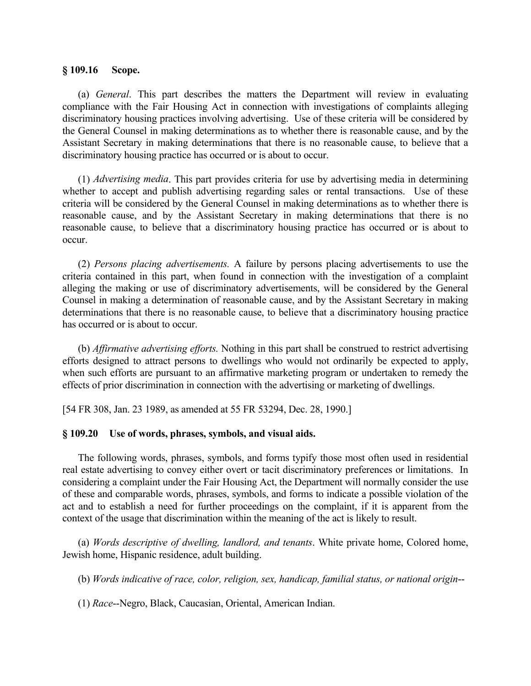#### **§ 109.16 Scope.**

 (a) *General*. This part describes the matters the Department will review in evaluating compliance with the Fair Housing Act in connection with investigations of complaints alleging discriminatory housing practices involving advertising. Use of these criteria will be considered by the General Counsel in making determinations as to whether there is reasonable cause, and by the Assistant Secretary in making determinations that there is no reasonable cause, to believe that a discriminatory housing practice has occurred or is about to occur.

 (1) *Advertising media*. This part provides criteria for use by advertising media in determining whether to accept and publish advertising regarding sales or rental transactions. Use of these criteria will be considered by the General Counsel in making determinations as to whether there is reasonable cause, and by the Assistant Secretary in making determinations that there is no reasonable cause, to believe that a discriminatory housing practice has occurred or is about to occur.

 (2) *Persons placing advertisements.* A failure by persons placing advertisements to use the criteria contained in this part, when found in connection with the investigation of a complaint alleging the making or use of discriminatory advertisements, will be considered by the General Counsel in making a determination of reasonable cause, and by the Assistant Secretary in making determinations that there is no reasonable cause, to believe that a discriminatory housing practice has occurred or is about to occur.

 (b) *Affirmative advertising efforts.* Nothing in this part shall be construed to restrict advertising efforts designed to attract persons to dwellings who would not ordinarily be expected to apply, when such efforts are pursuant to an affirmative marketing program or undertaken to remedy the effects of prior discrimination in connection with the advertising or marketing of dwellings.

[54 FR 308, Jan. 23 1989, as amended at 55 FR 53294, Dec. 28, 1990.]

## **§ 109.20 Use of words, phrases, symbols, and visual aids.**

 The following words, phrases, symbols, and forms typify those most often used in residential real estate advertising to convey either overt or tacit discriminatory preferences or limitations. In considering a complaint under the Fair Housing Act, the Department will normally consider the use of these and comparable words, phrases, symbols, and forms to indicate a possible violation of the act and to establish a need for further proceedings on the complaint, if it is apparent from the context of the usage that discrimination within the meaning of the act is likely to result.

 (a) *Words descriptive of dwelling, landlord, and tenants*. White private home, Colored home, Jewish home, Hispanic residence, adult building.

(b) *Words indicative of race, color, religion, sex, handicap, familial status, or national origin*--

(1) *Race*--Negro, Black, Caucasian, Oriental, American Indian.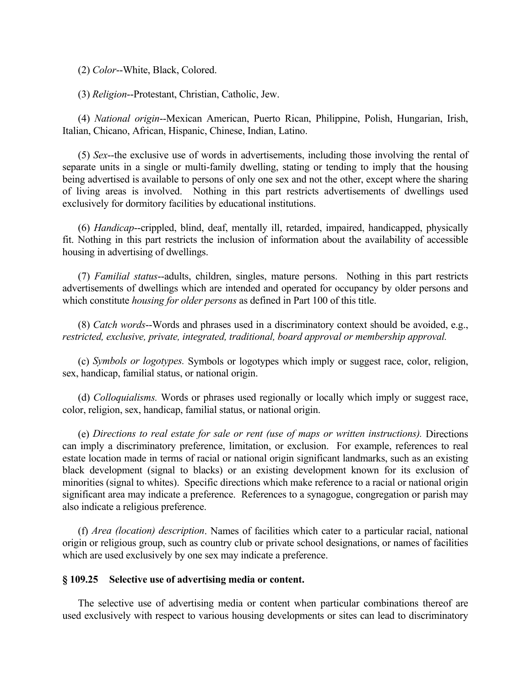(2) *Color*--White, Black, Colored.

(3) *Religion*--Protestant, Christian, Catholic, Jew.

 (4) *National origin*--Mexican American, Puerto Rican, Philippine, Polish, Hungarian, Irish, Italian, Chicano, African, Hispanic, Chinese, Indian, Latino.

 (5) *Sex*--the exclusive use of words in advertisements, including those involving the rental of separate units in a single or multi-family dwelling, stating or tending to imply that the housing being advertised is available to persons of only one sex and not the other, except where the sharing of living areas is involved. Nothing in this part restricts advertisements of dwellings used exclusively for dormitory facilities by educational institutions.

 (6) *Handicap*--crippled, blind, deaf, mentally ill, retarded, impaired, handicapped, physically fit. Nothing in this part restricts the inclusion of information about the availability of accessible housing in advertising of dwellings.

 (7) *Familial status*--adults, children, singles, mature persons. Nothing in this part restricts advertisements of dwellings which are intended and operated for occupancy by older persons and which constitute *housing for older persons* as defined in Part 100 of this title.

 (8) *Catch words*--Words and phrases used in a discriminatory context should be avoided, e.g., *restricted, exclusive, private, integrated, traditional, board approval or membership approval.*

 (c) *Symbols or logotypes.* Symbols or logotypes which imply or suggest race, color, religion, sex, handicap, familial status, or national origin.

 (d) *Colloquialisms.* Words or phrases used regionally or locally which imply or suggest race, color, religion, sex, handicap, familial status, or national origin.

 (e) *Directions to real estate for sale or rent (use of maps or written instructions).* Directions can imply a discriminatory preference, limitation, or exclusion. For example, references to real estate location made in terms of racial or national origin significant landmarks, such as an existing black development (signal to blacks) or an existing development known for its exclusion of minorities (signal to whites). Specific directions which make reference to a racial or national origin significant area may indicate a preference. References to a synagogue, congregation or parish may also indicate a religious preference.

 (f) *Area (location) description*. Names of facilities which cater to a particular racial, national origin or religious group, such as country club or private school designations, or names of facilities which are used exclusively by one sex may indicate a preference.

#### **§ 109.25 Selective use of advertising media or content.**

 The selective use of advertising media or content when particular combinations thereof are used exclusively with respect to various housing developments or sites can lead to discriminatory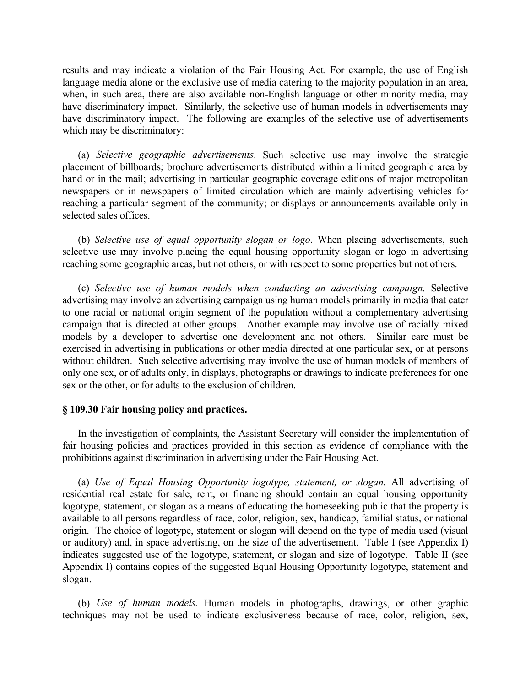results and may indicate a violation of the Fair Housing Act. For example, the use of English language media alone or the exclusive use of media catering to the majority population in an area, when, in such area, there are also available non-English language or other minority media, may have discriminatory impact. Similarly, the selective use of human models in advertisements may have discriminatory impact. The following are examples of the selective use of advertisements which may be discriminatory:

 (a) *Selective geographic advertisements*. Such selective use may involve the strategic placement of billboards; brochure advertisements distributed within a limited geographic area by hand or in the mail; advertising in particular geographic coverage editions of major metropolitan newspapers or in newspapers of limited circulation which are mainly advertising vehicles for reaching a particular segment of the community; or displays or announcements available only in selected sales offices.

 (b) *Selective use of equal opportunity slogan or logo*. When placing advertisements, such selective use may involve placing the equal housing opportunity slogan or logo in advertising reaching some geographic areas, but not others, or with respect to some properties but not others.

 (c) *Selective use of human models when conducting an advertising campaign.* Selective advertising may involve an advertising campaign using human models primarily in media that cater to one racial or national origin segment of the population without a complementary advertising campaign that is directed at other groups. Another example may involve use of racially mixed models by a developer to advertise one development and not others. Similar care must be exercised in advertising in publications or other media directed at one particular sex, or at persons without children. Such selective advertising may involve the use of human models of members of only one sex, or of adults only, in displays, photographs or drawings to indicate preferences for one sex or the other, or for adults to the exclusion of children.

## **§ 109.30 Fair housing policy and practices.**

 In the investigation of complaints, the Assistant Secretary will consider the implementation of fair housing policies and practices provided in this section as evidence of compliance with the prohibitions against discrimination in advertising under the Fair Housing Act.

 (a) *Use of Equal Housing Opportunity logotype, statement, or slogan.* All advertising of residential real estate for sale, rent, or financing should contain an equal housing opportunity logotype, statement, or slogan as a means of educating the homeseeking public that the property is available to all persons regardless of race, color, religion, sex, handicap, familial status, or national origin. The choice of logotype, statement or slogan will depend on the type of media used (visual or auditory) and, in space advertising, on the size of the advertisement. Table I (see Appendix I) indicates suggested use of the logotype, statement, or slogan and size of logotype. Table II (see Appendix I) contains copies of the suggested Equal Housing Opportunity logotype, statement and slogan.

(b) *Use of human models.* Human models in photographs, drawings, or other graphic techniques may not be used to indicate exclusiveness because of race, color, religion, sex,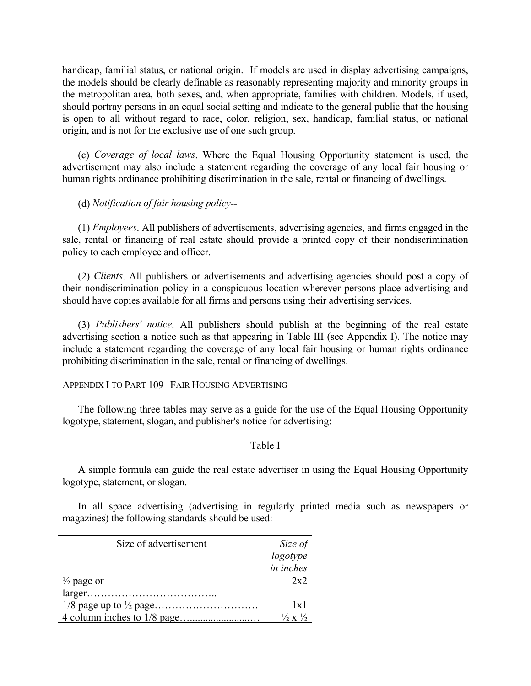handicap, familial status, or national origin. If models are used in display advertising campaigns, the models should be clearly definable as reasonably representing majority and minority groups in the metropolitan area, both sexes, and, when appropriate, families with children. Models, if used, should portray persons in an equal social setting and indicate to the general public that the housing is open to all without regard to race, color, religion, sex, handicap, familial status, or national origin, and is not for the exclusive use of one such group.

 (c) *Coverage of local laws*. Where the Equal Housing Opportunity statement is used, the advertisement may also include a statement regarding the coverage of any local fair housing or human rights ordinance prohibiting discrimination in the sale, rental or financing of dwellings.

## (d) *Notification of fair housing policy*--

 (1) *Employees*. All publishers of advertisements, advertising agencies, and firms engaged in the sale, rental or financing of real estate should provide a printed copy of their nondiscrimination policy to each employee and officer.

 (2) *Clients*. All publishers or advertisements and advertising agencies should post a copy of their nondiscrimination policy in a conspicuous location wherever persons place advertising and should have copies available for all firms and persons using their advertising services.

 (3) *Publishers' notice*. All publishers should publish at the beginning of the real estate advertising section a notice such as that appearing in Table III (see Appendix I). The notice may include a statement regarding the coverage of any local fair housing or human rights ordinance prohibiting discrimination in the sale, rental or financing of dwellings.

#### APPENDIX I TO PART 109--FAIR HOUSING ADVERTISING

 The following three tables may serve as a guide for the use of the Equal Housing Opportunity logotype, statement, slogan, and publisher's notice for advertising:

## Table I

 A simple formula can guide the real estate advertiser in using the Equal Housing Opportunity logotype, statement, or slogan.

 In all space advertising (advertising in regularly printed media such as newspapers or magazines) the following standards should be used:

| Size of advertisement                                                                  | Size of                          |
|----------------------------------------------------------------------------------------|----------------------------------|
|                                                                                        | logotype                         |
|                                                                                        | $in$ inches                      |
| $\frac{1}{2}$ page or                                                                  | 2x2                              |
| $larger. \ldots \ldots \ldots \ldots \ldots \ldots \ldots \ldots \ldots \ldots \ldots$ |                                  |
|                                                                                        | 1x1                              |
| 4 column inches to 1/8 page.                                                           | $\frac{1}{2} \times \frac{1}{2}$ |